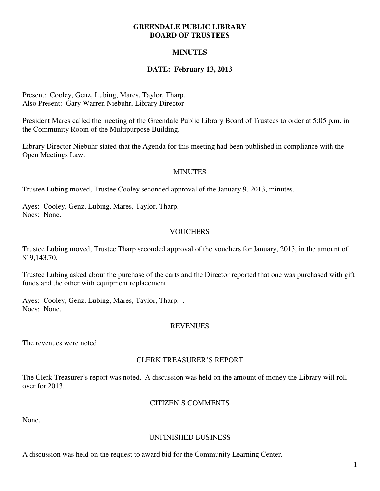#### **GREENDALE PUBLIC LIBRARY BOARD OF TRUSTEES**

# **MINUTES**

# **DATE: February 13, 2013**

Present: Cooley, Genz, Lubing, Mares, Taylor, Tharp. Also Present: Gary Warren Niebuhr, Library Director

President Mares called the meeting of the Greendale Public Library Board of Trustees to order at 5:05 p.m. in the Community Room of the Multipurpose Building.

Library Director Niebuhr stated that the Agenda for this meeting had been published in compliance with the Open Meetings Law.

#### **MINUTES**

Trustee Lubing moved, Trustee Cooley seconded approval of the January 9, 2013, minutes.

Ayes: Cooley, Genz, Lubing, Mares, Taylor, Tharp. Noes: None.

## **VOUCHERS**

Trustee Lubing moved, Trustee Tharp seconded approval of the vouchers for January, 2013, in the amount of \$19,143.70.

Trustee Lubing asked about the purchase of the carts and the Director reported that one was purchased with gift funds and the other with equipment replacement.

Ayes: Cooley, Genz, Lubing, Mares, Taylor, Tharp. . Noes: None.

#### REVENUES

The revenues were noted.

## CLERK TREASURER'S REPORT

The Clerk Treasurer's report was noted. A discussion was held on the amount of money the Library will roll over for 2013.

#### CITIZEN'S COMMENTS

None.

#### UNFINISHED BUSINESS

A discussion was held on the request to award bid for the Community Learning Center.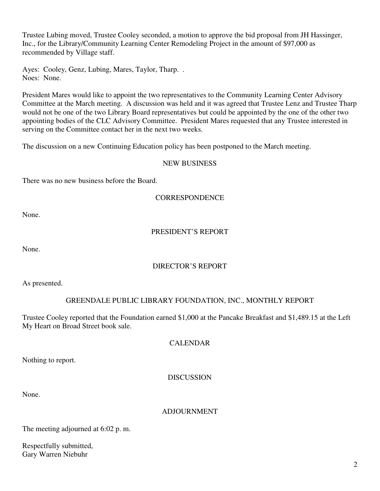Trustee Lubing moved, Trustee Cooley seconded, a motion to approve the bid proposal from JH Hassinger, Inc., for the Library/Community Learning Center Remodeling Project in the amount of \$97,000 as recommended by Village staff.

Ayes: Cooley, Genz, Lubing, Mares, Taylor, Tharp. . Noes: None.

President Mares would like to appoint the two representatives to the Community Learning Center Advisory Committee at the March meeting. A discussion was held and it was agreed that Trustee Lenz and Trustee Tharp would not be one of the two Library Board representatives but could be appointed by the one of the other two appointing bodies of the CLC Advisory Committee. President Mares requested that any Trustee interested in serving on the Committee contact her in the next two weeks.

The discussion on a new Continuing Education policy has been postponed to the March meeting.

#### NEW BUSINESS

There was no new business before the Board.

#### **CORRESPONDENCE**

None.

## PRESIDENT'S REPORT

None.

# DIRECTOR'S REPORT

As presented.

## GREENDALE PUBLIC LIBRARY FOUNDATION, INC., MONTHLY REPORT

Trustee Cooley reported that the Foundation earned \$1,000 at the Pancake Breakfast and \$1,489.15 at the Left My Heart on Broad Street book sale.

#### CALENDAR

Nothing to report.

## DISCUSSION

None.

## **ADJOURNMENT**

The meeting adjourned at 6:02 p. m.

Respectfully submitted, Gary Warren Niebuhr